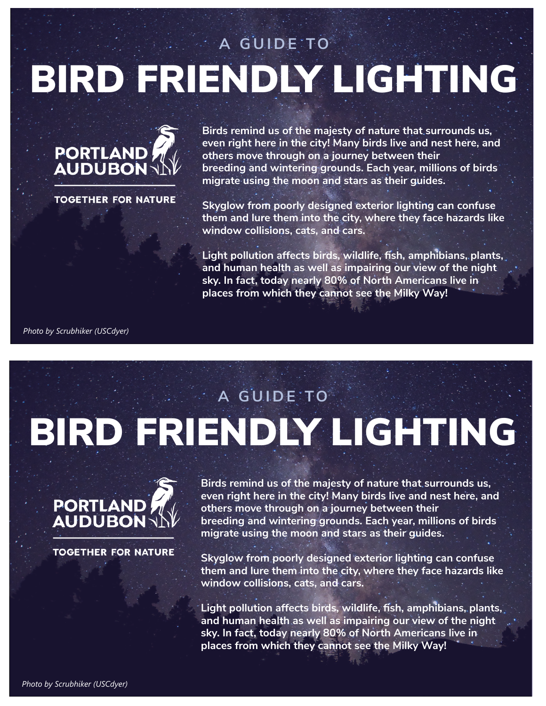# BIRD FRIENDLY LIGHTING **A GUIDE TO**



**TOGETHER FOR NATURE** 

**Birds remind us of the majesty of nature that surrounds us, even right here in the city! Many birds live and nest here, and others move through on a journey between their breeding and wintering grounds. Each year, millions of birds migrate using the moon and stars as their guides.**

**Skyglow from poorly designed exterior lighting can confuse them and lure them into the city, where they face hazards like window collisions, cats, and cars.** 

**Light pollution affects birds, wildlife, fish, amphibians, plants, and human health as well as impairing our view of the night sky. In fact, today nearly 80% of North Americans live in places from which they cannot see the Milky Way!**

*Photo by Scrubhiker (USCdyer)*

# BIRD FRIENDLY LIGHTING **A GUIDE TO**



**TOGETHER FOR NATURE** 

**Birds remind us of the majesty of nature that surrounds us, even right here in the city! Many birds live and nest here, and others move through on a journey between their breeding and wintering grounds. Each year, millions of birds migrate using the moon and stars as their guides.**

**Skyglow from poorly designed exterior lighting can confuse them and lure them into the city, where they face hazards like window collisions, cats, and cars.** 

**Light pollution affects birds, wildlife, fish, amphibians, plants, and human health as well as impairing our view of the night sky. In fact, today nearly 80% of North Americans live in places from which they cannot see the Milky Way!**